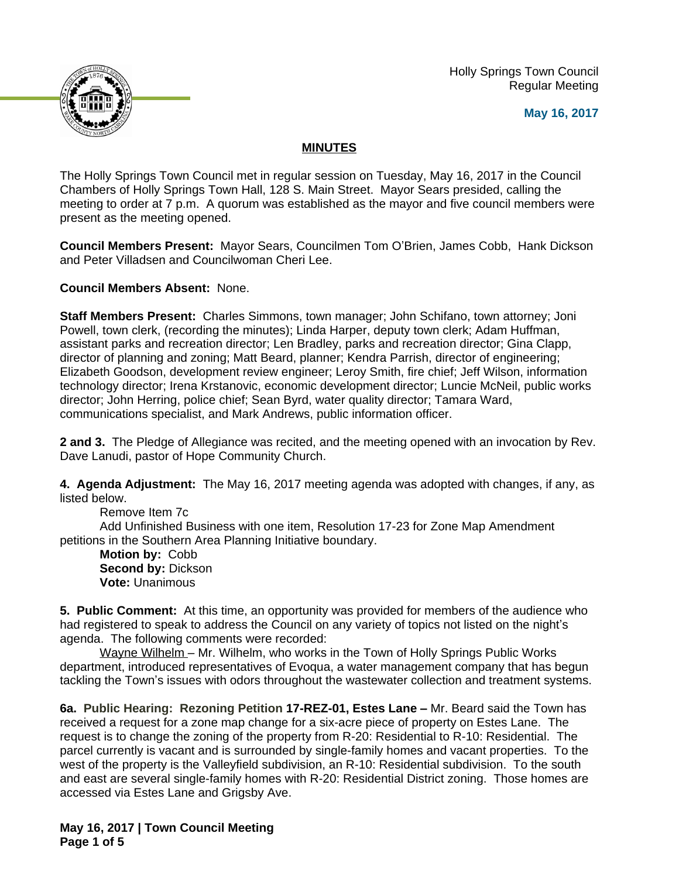Holly Springs Town Council Regular Meeting





## **MINUTES**

The Holly Springs Town Council met in regular session on Tuesday, May 16, 2017 in the Council Chambers of Holly Springs Town Hall, 128 S. Main Street. Mayor Sears presided, calling the meeting to order at 7 p.m. A quorum was established as the mayor and five council members were present as the meeting opened.

**Council Members Present:** Mayor Sears, Councilmen Tom O'Brien, James Cobb, Hank Dickson and Peter Villadsen and Councilwoman Cheri Lee.

**Council Members Absent:** None.

**Staff Members Present:** Charles Simmons, town manager; John Schifano, town attorney; Joni Powell, town clerk, (recording the minutes); Linda Harper, deputy town clerk; Adam Huffman, assistant parks and recreation director; Len Bradley, parks and recreation director; Gina Clapp, director of planning and zoning; Matt Beard, planner; Kendra Parrish, director of engineering; Elizabeth Goodson, development review engineer; Leroy Smith, fire chief; Jeff Wilson, information technology director; Irena Krstanovic, economic development director; Luncie McNeil, public works director; John Herring, police chief; Sean Byrd, water quality director; Tamara Ward, communications specialist, and Mark Andrews, public information officer.

**2 and 3.** The Pledge of Allegiance was recited, and the meeting opened with an invocation by Rev. Dave Lanudi, pastor of Hope Community Church.

**4. Agenda Adjustment:** The May 16, 2017 meeting agenda was adopted with changes, if any, as listed below.

Remove Item 7c Add Unfinished Business with one item, Resolution 17-23 for Zone Map Amendment petitions in the Southern Area Planning Initiative boundary.

**Motion by:** Cobb **Second by:** Dickson **Vote:** Unanimous

**5. Public Comment:** At this time, an opportunity was provided for members of the audience who had registered to speak to address the Council on any variety of topics not listed on the night's agenda. The following comments were recorded:

Wayne Wilhelm – Mr. Wilhelm, who works in the Town of Holly Springs Public Works department, introduced representatives of Evoqua, a water management company that has begun tackling the Town's issues with odors throughout the wastewater collection and treatment systems.

**6a. Public Hearing: Rezoning Petition 17-REZ-01, Estes Lane –** Mr. Beard said the Town has received a request for a zone map change for a six-acre piece of property on Estes Lane. The request is to change the zoning of the property from R-20: Residential to R-10: Residential. The parcel currently is vacant and is surrounded by single-family homes and vacant properties. To the west of the property is the Valleyfield subdivision, an R-10: Residential subdivision. To the south and east are several single-family homes with R-20: Residential District zoning. Those homes are accessed via Estes Lane and Grigsby Ave.

**May 16, 2017 | Town Council Meeting Page 1 of 5**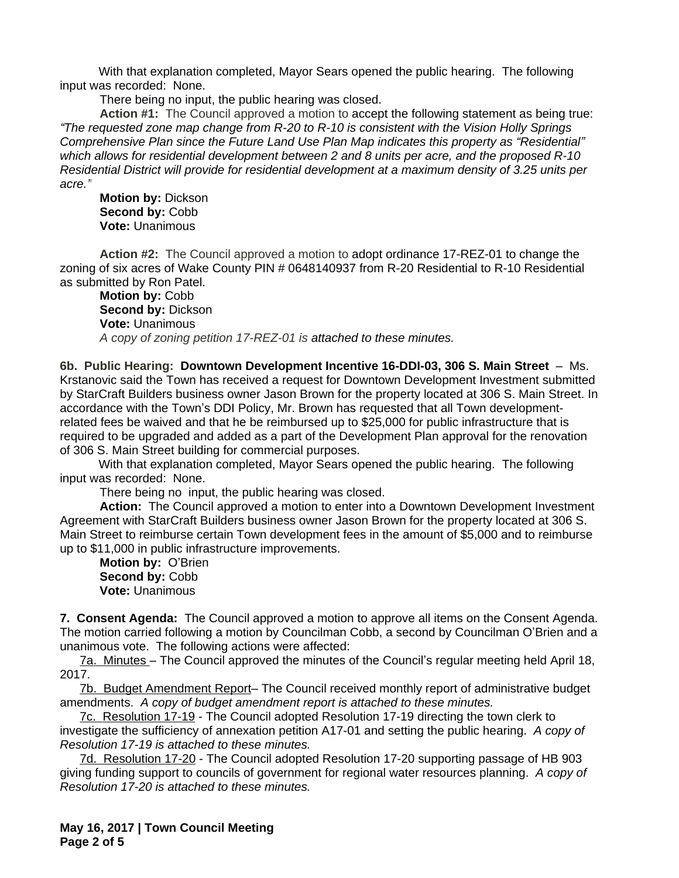With that explanation completed, Mayor Sears opened the public hearing. The following input was recorded: None.

There being no input, the public hearing was closed.

**Action #1:** The Council approved a motion to accept the following statement as being true: *"The requested zone map change from R-20 to R-10 is consistent with the Vision Holly Springs Comprehensive Plan since the Future Land Use Plan Map indicates this property as "Residential" which allows for residential development between 2 and 8 units per acre, and the proposed R-10 Residential District will provide for residential development at a maximum density of 3.25 units per acre."*

**Motion by:** Dickson **Second by:** Cobb **Vote:** Unanimous

**Action #2:** The Council approved a motion to adopt ordinance 17-REZ-01 to change the zoning of six acres of Wake County PIN # 0648140937 from R-20 Residential to R-10 Residential as submitted by Ron Patel.

**Motion by:** Cobb **Second by:** Dickson **Vote:** Unanimous *A copy of zoning petition 17-REZ-01 is attached to these minutes.*

**6b. Public Hearing: Downtown Development Incentive 16-DDI-03, 306 S. Main Street** – Ms. Krstanovic said the Town has received a request for Downtown Development Investment submitted by StarCraft Builders business owner Jason Brown for the property located at 306 S. Main Street. In accordance with the Town's DDI Policy, Mr. Brown has requested that all Town developmentrelated fees be waived and that he be reimbursed up to \$25,000 for public infrastructure that is required to be upgraded and added as a part of the Development Plan approval for the renovation of 306 S. Main Street building for commercial purposes.

With that explanation completed, Mayor Sears opened the public hearing. The following input was recorded: None.

There being no input, the public hearing was closed.

**Action:** The Council approved a motion to enter into a Downtown Development Investment Agreement with StarCraft Builders business owner Jason Brown for the property located at 306 S. Main Street to reimburse certain Town development fees in the amount of \$5,000 and to reimburse up to \$11,000 in public infrastructure improvements.

**Motion by:** O'Brien Second by: Cobb **Vote:** Unanimous

**7. Consent Agenda:** The Council approved a motion to approve all items on the Consent Agenda. The motion carried following a motion by Councilman Cobb, a second by Councilman O'Brien and a unanimous vote. The following actions were affected:

7a. Minutes – The Council approved the minutes of the Council's regular meeting held April 18, 2017.

7b. Budget Amendment Report– The Council received monthly report of administrative budget amendments. *A copy of budget amendment report is attached to these minutes.*

7c. Resolution 17-19 - The Council adopted Resolution 17-19 directing the town clerk to investigate the sufficiency of annexation petition A17-01 and setting the public hearing.*A copy of Resolution 17-19 is attached to these minutes.* 

7d. Resolution 17-20 - The Council adopted Resolution 17-20 supporting passage of HB 903 giving funding support to councils of government for regional water resources planning. *A copy of Resolution 17-20 is attached to these minutes.* 

**May 16, 2017 | Town Council Meeting Page 2 of 5**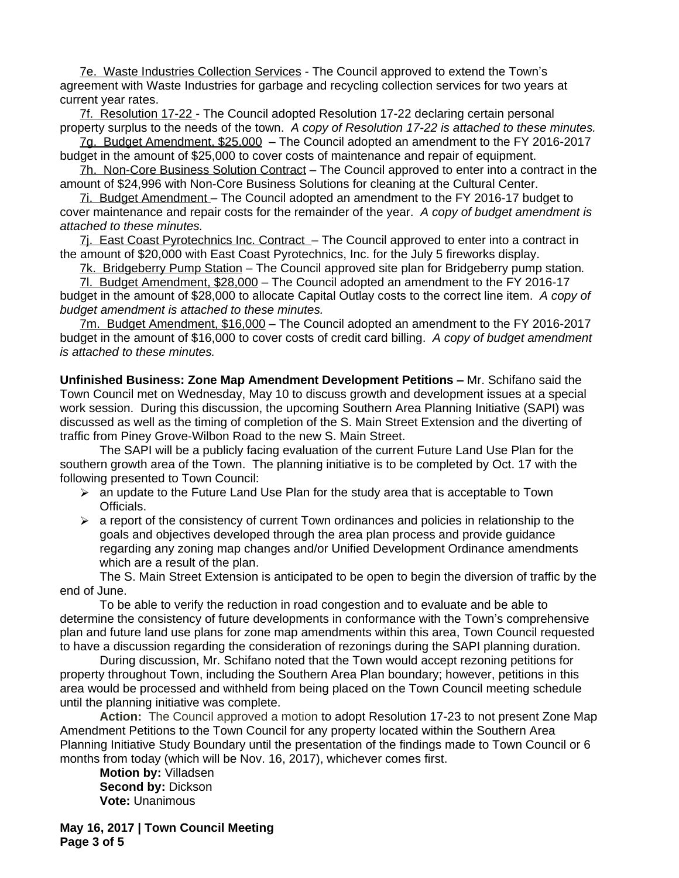7e. Waste Industries Collection Services - The Council approved to extend the Town's agreement with Waste Industries for garbage and recycling collection services for two years at current year rates.

7f. Resolution 17-22 - The Council adopted Resolution 17-22 declaring certain personal property surplus to the needs of the town. *A copy of Resolution 17-22 is attached to these minutes.*

7g. Budget Amendment, \$25,000 – The Council adopted an amendment to the FY 2016-2017 budget in the amount of \$25,000 to cover costs of maintenance and repair of equipment.

7h. Non-Core Business Solution Contract – The Council approved to enter into a contract in the amount of \$24,996 with Non-Core Business Solutions for cleaning at the Cultural Center.

7i. Budget Amendment – The Council adopted an amendment to the FY 2016-17 budget to cover maintenance and repair costs for the remainder of the year.*A copy of budget amendment is attached to these minutes.*

7j. East Coast Pyrotechnics Inc. Contract – The Council approved to enter into a contract in the amount of \$20,000 with East Coast Pyrotechnics, Inc. for the July 5 fireworks display.

7k. Bridgeberry Pump Station – The Council approved site plan for Bridgeberry pump station*.*

7l. Budget Amendment, \$28,000 – The Council adopted an amendment to the FY 2016-17 budget in the amount of \$28,000 to allocate Capital Outlay costs to the correct line item.*A copy of budget amendment is attached to these minutes.*

7m. Budget Amendment, \$16,000 – The Council adopted an amendment to the FY 2016-2017 budget in the amount of \$16,000 to cover costs of credit card billing. *A copy of budget amendment is attached to these minutes.*

**Unfinished Business: Zone Map Amendment Development Petitions - Mr. Schifano said the** Town Council met on Wednesday, May 10 to discuss growth and development issues at a special work session. During this discussion, the upcoming Southern Area Planning Initiative (SAPI) was discussed as well as the timing of completion of the S. Main Street Extension and the diverting of traffic from Piney Grove-Wilbon Road to the new S. Main Street.

The SAPI will be a publicly facing evaluation of the current Future Land Use Plan for the southern growth area of the Town. The planning initiative is to be completed by Oct. 17 with the following presented to Town Council:

- $\triangleright$  an update to the Future Land Use Plan for the study area that is acceptable to Town Officials.
- $\triangleright$  a report of the consistency of current Town ordinances and policies in relationship to the goals and objectives developed through the area plan process and provide guidance regarding any zoning map changes and/or Unified Development Ordinance amendments which are a result of the plan.

The S. Main Street Extension is anticipated to be open to begin the diversion of traffic by the end of June.

To be able to verify the reduction in road congestion and to evaluate and be able to determine the consistency of future developments in conformance with the Town's comprehensive plan and future land use plans for zone map amendments within this area, Town Council requested to have a discussion regarding the consideration of rezonings during the SAPI planning duration.

During discussion, Mr. Schifano noted that the Town would accept rezoning petitions for property throughout Town, including the Southern Area Plan boundary; however, petitions in this area would be processed and withheld from being placed on the Town Council meeting schedule until the planning initiative was complete.

**Action:** The Council approved a motion to adopt Resolution 17-23 to not present Zone Map Amendment Petitions to the Town Council for any property located within the Southern Area Planning Initiative Study Boundary until the presentation of the findings made to Town Council or 6 months from today (which will be Nov. 16, 2017), whichever comes first.

**Motion by:** Villadsen **Second by:** Dickson **Vote:** Unanimous

**May 16, 2017 | Town Council Meeting Page 3 of 5**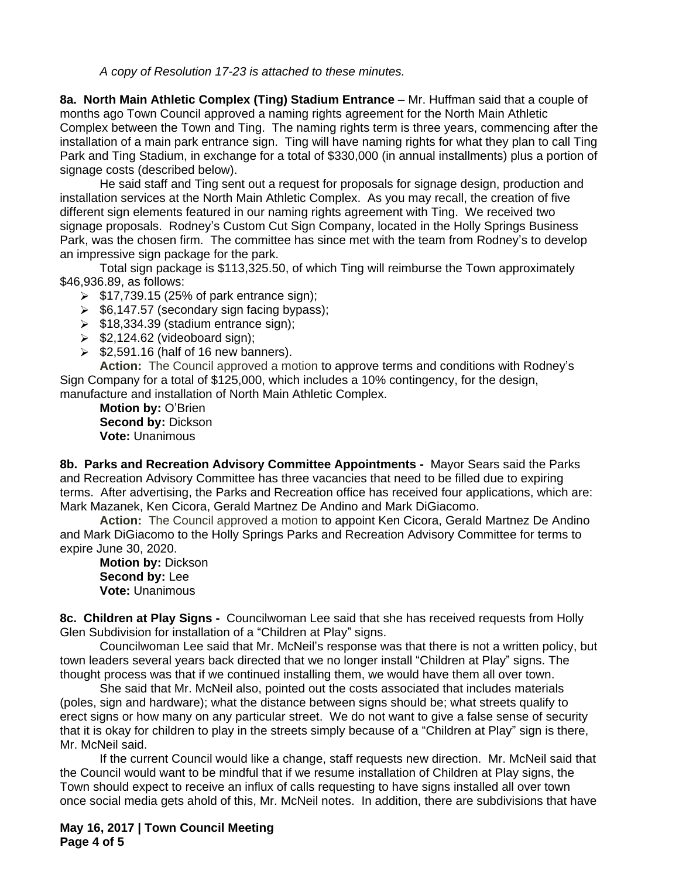*A copy of Resolution 17-23 is attached to these minutes.*

**8a. North Main Athletic Complex (Ting) Stadium Entrance** – Mr. Huffman said that a couple of months ago Town Council approved a naming rights agreement for the North Main Athletic Complex between the Town and Ting. The naming rights term is three years, commencing after the installation of a main park entrance sign. Ting will have naming rights for what they plan to call Ting Park and Ting Stadium, in exchange for a total of \$330,000 (in annual installments) plus a portion of signage costs (described below).

He said staff and Ting sent out a request for proposals for signage design, production and installation services at the North Main Athletic Complex. As you may recall, the creation of five different sign elements featured in our naming rights agreement with Ting. We received two signage proposals. Rodney's Custom Cut Sign Company, located in the Holly Springs Business Park, was the chosen firm. The committee has since met with the team from Rodney's to develop an impressive sign package for the park.

Total sign package is \$113,325.50, of which Ting will reimburse the Town approximately \$46,936.89, as follows:

- $\geq$  \$17,739.15 (25% of park entrance sign);
- $\geq$  \$6,147.57 (secondary sign facing bypass);
- $\geq$  \$18,334.39 (stadium entrance sign);
- $\ge$  \$2,124.62 (videoboard sign);
- $\ge$  \$2,591.16 (half of 16 new banners).

**Action:** The Council approved a motion to approve terms and conditions with Rodney's Sign Company for a total of \$125,000, which includes a 10% contingency, for the design, manufacture and installation of North Main Athletic Complex.

**Motion by:** O'Brien **Second by:** Dickson **Vote:** Unanimous

**8b. Parks and Recreation Advisory Committee Appointments -** Mayor Sears said the Parks and Recreation Advisory Committee has three vacancies that need to be filled due to expiring terms. After advertising, the Parks and Recreation office has received four applications, which are: Mark Mazanek, Ken Cicora, Gerald Martnez De Andino and Mark DiGiacomo.

**Action:** The Council approved a motion to appoint Ken Cicora, Gerald Martnez De Andino and Mark DiGiacomo to the Holly Springs Parks and Recreation Advisory Committee for terms to expire June 30, 2020.

**Motion by:** Dickson **Second by:** Lee **Vote:** Unanimous

**8c. Children at Play Signs -** Councilwoman Lee said that she has received requests from Holly Glen Subdivision for installation of a "Children at Play" signs.

Councilwoman Lee said that Mr. McNeil's response was that there is not a written policy, but town leaders several years back directed that we no longer install "Children at Play" signs. The thought process was that if we continued installing them, we would have them all over town.

She said that Mr. McNeil also, pointed out the costs associated that includes materials (poles, sign and hardware); what the distance between signs should be; what streets qualify to erect signs or how many on any particular street. We do not want to give a false sense of security that it is okay for children to play in the streets simply because of a "Children at Play" sign is there, Mr. McNeil said.

If the current Council would like a change, staff requests new direction. Mr. McNeil said that the Council would want to be mindful that if we resume installation of Children at Play signs, the Town should expect to receive an influx of calls requesting to have signs installed all over town once social media gets ahold of this, Mr. McNeil notes. In addition, there are subdivisions that have

**May 16, 2017 | Town Council Meeting Page 4 of 5**